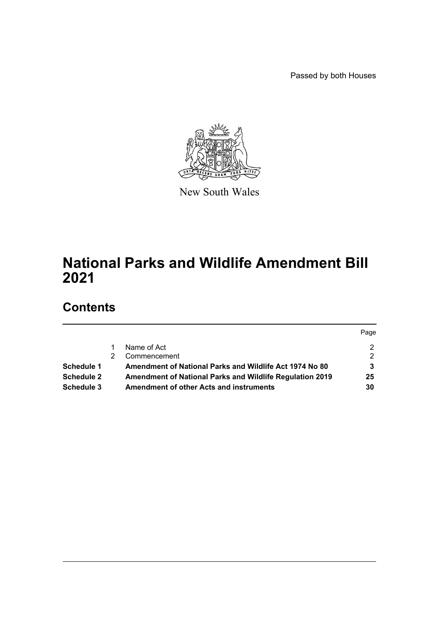Passed by both Houses



New South Wales

# **National Parks and Wildlife Amendment Bill 2021**

# **Contents**

|                   |                                                          | Page          |
|-------------------|----------------------------------------------------------|---------------|
|                   | Name of Act                                              | 2             |
|                   | Commencement                                             | $\mathcal{P}$ |
| <b>Schedule 1</b> | Amendment of National Parks and Wildlife Act 1974 No 80  | 3             |
| Schedule 2        | Amendment of National Parks and Wildlife Regulation 2019 | 25            |
| Schedule 3        | <b>Amendment of other Acts and instruments</b>           | 30            |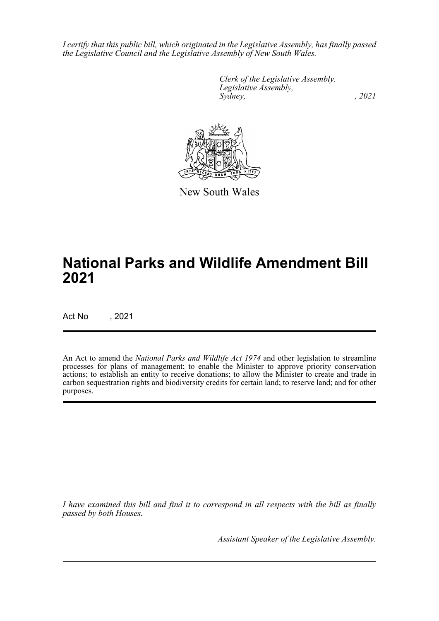*I certify that this public bill, which originated in the Legislative Assembly, has finally passed the Legislative Council and the Legislative Assembly of New South Wales.*

> *Clerk of the Legislative Assembly. Legislative Assembly, Sydney, , 2021*



New South Wales

# **National Parks and Wildlife Amendment Bill 2021**

Act No , 2021

An Act to amend the *National Parks and Wildlife Act 1974* and other legislation to streamline processes for plans of management; to enable the Minister to approve priority conservation actions; to establish an entity to receive donations; to allow the Minister to create and trade in carbon sequestration rights and biodiversity credits for certain land; to reserve land; and for other purposes.

*I have examined this bill and find it to correspond in all respects with the bill as finally passed by both Houses.*

*Assistant Speaker of the Legislative Assembly.*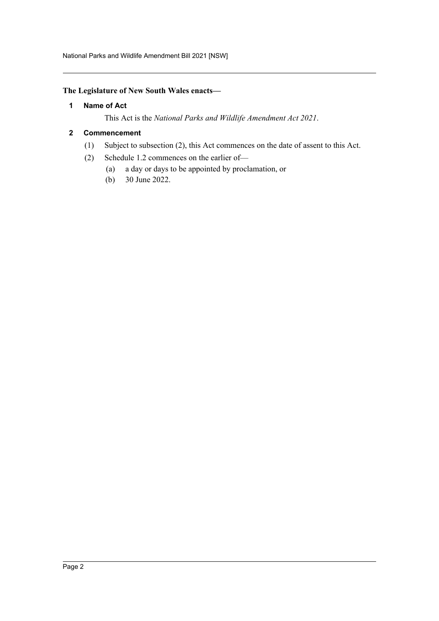# <span id="page-2-0"></span>**The Legislature of New South Wales enacts—**

# **1 Name of Act**

This Act is the *National Parks and Wildlife Amendment Act 2021*.

# <span id="page-2-1"></span>**2 Commencement**

- (1) Subject to subsection (2), this Act commences on the date of assent to this Act.
- (2) Schedule 1.2 commences on the earlier of—
	- (a) a day or days to be appointed by proclamation, or
	- (b) 30 June 2022.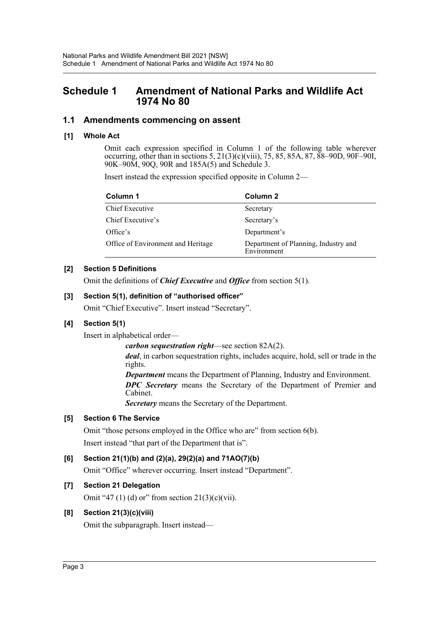# <span id="page-3-0"></span>**Schedule 1 Amendment of National Parks and Wildlife Act 1974 No 80**

# **1.1 Amendments commencing on assent**

# **[1] Whole Act**

Omit each expression specified in Column 1 of the following table wherever occurring, other than in sections 5, 21(3)(c)(viii), 75, 85, 85A, 87, 88–90D, 90F–90I, 90K–90M, 90Q, 90R and 185A(5) and Schedule 3.

Insert instead the expression specified opposite in Column 2—

| Column 1                           | Column 2                                            |  |
|------------------------------------|-----------------------------------------------------|--|
| Chief Executive                    | Secretary                                           |  |
| Chief Executive's                  | Secretary's                                         |  |
| Office's                           | Department's                                        |  |
| Office of Environment and Heritage | Department of Planning, Industry and<br>Environment |  |

# **[2] Section 5 Definitions**

Omit the definitions of *Chief Executive* and *Office* from section 5(1).

# **[3] Section 5(1), definition of "authorised officer"**

Omit "Chief Executive". Insert instead "Secretary".

# **[4] Section 5(1)**

Insert in alphabetical order—

*carbon sequestration right*—see section 82A(2).

*deal*, in carbon sequestration rights, includes acquire, hold, sell or trade in the rights.

*Department* means the Department of Planning, Industry and Environment. *DPC Secretary* means the Secretary of the Department of Premier and Cabinet.

*Secretary* means the Secretary of the Department.

# **[5] Section 6 The Service**

Omit "those persons employed in the Office who are" from section 6(b). Insert instead "that part of the Department that is".

# **[6] Section 21(1)(b) and (2)(a), 29(2)(a) and 71AO(7)(b)**

Omit "Office" wherever occurring. Insert instead "Department".

# **[7] Section 21 Delegation**

Omit "47 $(1)$  $(d)$  or" from section 21 $(3)(c)(vi)$ .

# **[8] Section 21(3)(c)(viii)**

Omit the subparagraph. Insert instead—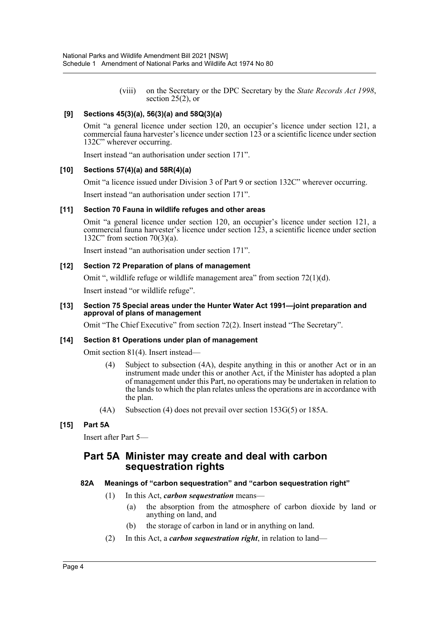(viii) on the Secretary or the DPC Secretary by the *State Records Act 1998*, section 25(2), or

# **[9] Sections 45(3)(a), 56(3)(a) and 58Q(3)(a)**

Omit "a general licence under section 120, an occupier's licence under section 121, a commercial fauna harvester's licence under section 123 or a scientific licence under section 132C" wherever occurring.

Insert instead "an authorisation under section 171".

# **[10] Sections 57(4)(a) and 58R(4)(a)**

Omit "a licence issued under Division 3 of Part 9 or section 132C" wherever occurring.

Insert instead "an authorisation under section 171".

# **[11] Section 70 Fauna in wildlife refuges and other areas**

Omit "a general licence under section 120, an occupier's licence under section 121, a commercial fauna harvester's licence under section 123, a scientific licence under section 132C" from section 70(3)(a).

Insert instead "an authorisation under section 171".

# **[12] Section 72 Preparation of plans of management**

Omit ", wildlife refuge or wildlife management area" from section 72(1)(d).

Insert instead "or wildlife refuge".

#### **[13] Section 75 Special areas under the Hunter Water Act 1991—joint preparation and approval of plans of management**

Omit "The Chief Executive" from section 72(2). Insert instead "The Secretary".

# **[14] Section 81 Operations under plan of management**

Omit section 81(4). Insert instead—

- (4) Subject to subsection (4A), despite anything in this or another Act or in an instrument made under this or another Act, if the Minister has adopted a plan of management under this Part, no operations may be undertaken in relation to the lands to which the plan relates unless the operations are in accordance with the plan.
- (4A) Subsection (4) does not prevail over section 153G(5) or 185A.

# **[15] Part 5A**

Insert after Part 5—

# **Part 5A Minister may create and deal with carbon sequestration rights**

# **82A Meanings of "carbon sequestration" and "carbon sequestration right"**

- (1) In this Act, *carbon sequestration* means—
	- (a) the absorption from the atmosphere of carbon dioxide by land or anything on land, and
	- (b) the storage of carbon in land or in anything on land.
- (2) In this Act, a *carbon sequestration right*, in relation to land—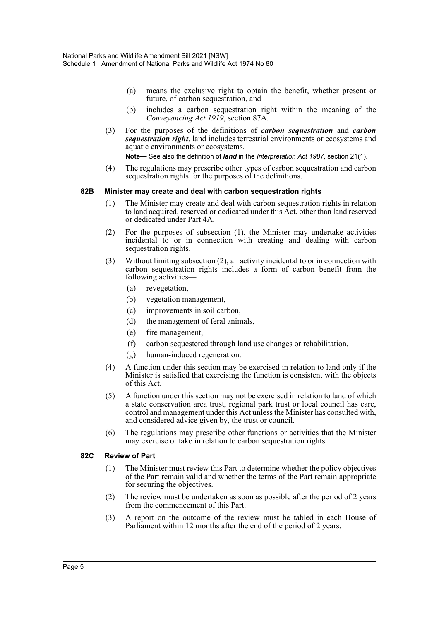- (a) means the exclusive right to obtain the benefit, whether present or future, of carbon sequestration, and
- (b) includes a carbon sequestration right within the meaning of the *Conveyancing Act 1919*, section 87A.
- (3) For the purposes of the definitions of *carbon sequestration* and *carbon sequestration right*, land includes terrestrial environments or ecosystems and aquatic environments or ecosystems.

**Note—** See also the definition of *land* in the *Interpretation Act 1987*, section 21(1).

(4) The regulations may prescribe other types of carbon sequestration and carbon sequestration rights for the purposes of the definitions.

#### **82B Minister may create and deal with carbon sequestration rights**

- (1) The Minister may create and deal with carbon sequestration rights in relation to land acquired, reserved or dedicated under this Act, other than land reserved or dedicated under Part 4A.
- (2) For the purposes of subsection (1), the Minister may undertake activities incidental to or in connection with creating and dealing with carbon sequestration rights.
- (3) Without limiting subsection (2), an activity incidental to or in connection with carbon sequestration rights includes a form of carbon benefit from the following activities—
	- (a) revegetation,
	- (b) vegetation management,
	- (c) improvements in soil carbon,
	- (d) the management of feral animals,
	- (e) fire management,
	- (f) carbon sequestered through land use changes or rehabilitation,
	- (g) human-induced regeneration.
- (4) A function under this section may be exercised in relation to land only if the Minister is satisfied that exercising the function is consistent with the objects of this Act.
- (5) A function under this section may not be exercised in relation to land of which a state conservation area trust, regional park trust or local council has care, control and management under this Act unless the Minister has consulted with, and considered advice given by, the trust or council.
- (6) The regulations may prescribe other functions or activities that the Minister may exercise or take in relation to carbon sequestration rights.

#### **82C Review of Part**

- (1) The Minister must review this Part to determine whether the policy objectives of the Part remain valid and whether the terms of the Part remain appropriate for securing the objectives.
- (2) The review must be undertaken as soon as possible after the period of 2 years from the commencement of this Part.
- (3) A report on the outcome of the review must be tabled in each House of Parliament within 12 months after the end of the period of 2 years.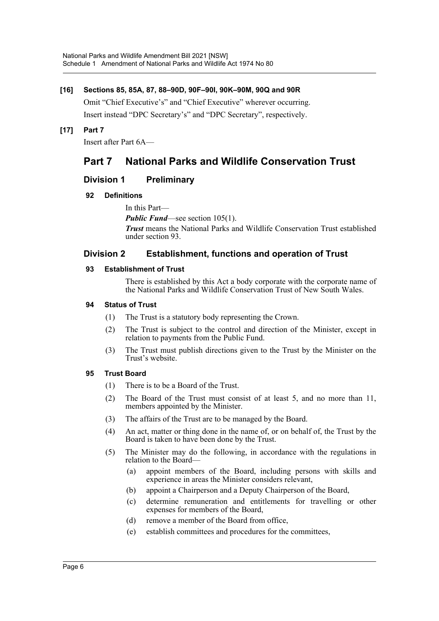# **[16] Sections 85, 85A, 87, 88–90D, 90F–90I, 90K–90M, 90Q and 90R**

Omit "Chief Executive's" and "Chief Executive" wherever occurring. Insert instead "DPC Secretary's" and "DPC Secretary", respectively.

**[17] Part 7**

Insert after Part 6A—

# **Part 7 National Parks and Wildlife Conservation Trust**

# **Division 1 Preliminary**

# **92 Definitions**

In this Part—

*Public Fund*—see section 105(1).

*Trust* means the National Parks and Wildlife Conservation Trust established under section 93.

# **Division 2 Establishment, functions and operation of Trust**

# **93 Establishment of Trust**

There is established by this Act a body corporate with the corporate name of the National Parks and Wildlife Conservation Trust of New South Wales.

# **94 Status of Trust**

- (1) The Trust is a statutory body representing the Crown.
- (2) The Trust is subject to the control and direction of the Minister, except in relation to payments from the Public Fund.
- (3) The Trust must publish directions given to the Trust by the Minister on the Trust's website.

# **95 Trust Board**

- (1) There is to be a Board of the Trust.
- (2) The Board of the Trust must consist of at least 5, and no more than 11, members appointed by the Minister.
- (3) The affairs of the Trust are to be managed by the Board.
- (4) An act, matter or thing done in the name of, or on behalf of, the Trust by the Board is taken to have been done by the Trust.
- (5) The Minister may do the following, in accordance with the regulations in relation to the Board—
	- (a) appoint members of the Board, including persons with skills and experience in areas the Minister considers relevant,
	- (b) appoint a Chairperson and a Deputy Chairperson of the Board,
	- (c) determine remuneration and entitlements for travelling or other expenses for members of the Board,
	- (d) remove a member of the Board from office,
	- (e) establish committees and procedures for the committees,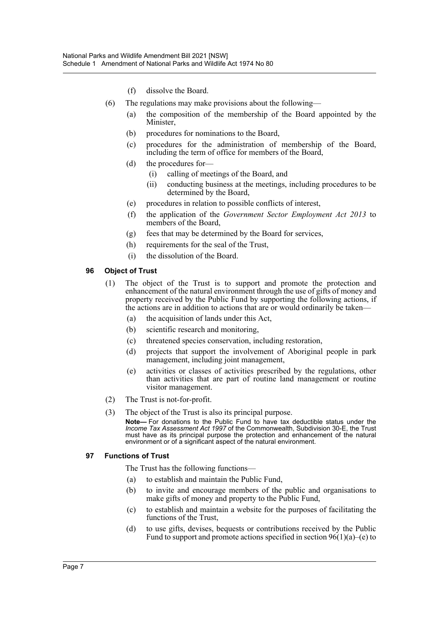- (f) dissolve the Board.
- (6) The regulations may make provisions about the following—
	- (a) the composition of the membership of the Board appointed by the Minister,
	- (b) procedures for nominations to the Board,
	- (c) procedures for the administration of membership of the Board, including the term of office for members of the Board,
	- (d) the procedures for—
		- (i) calling of meetings of the Board, and
		- (ii) conducting business at the meetings, including procedures to be determined by the Board,
	- (e) procedures in relation to possible conflicts of interest,
	- (f) the application of the *Government Sector Employment Act 2013* to members of the Board.
	- (g) fees that may be determined by the Board for services,
	- (h) requirements for the seal of the Trust,
	- (i) the dissolution of the Board.

#### **96 Object of Trust**

- (1) The object of the Trust is to support and promote the protection and enhancement of the natural environment through the use of gifts of money and property received by the Public Fund by supporting the following actions, if the actions are in addition to actions that are or would ordinarily be taken—
	- (a) the acquisition of lands under this Act,
	- (b) scientific research and monitoring,
	- (c) threatened species conservation, including restoration,
	- (d) projects that support the involvement of Aboriginal people in park management, including joint management,
	- (e) activities or classes of activities prescribed by the regulations, other than activities that are part of routine land management or routine visitor management.
- (2) The Trust is not-for-profit.
- (3) The object of the Trust is also its principal purpose.

**Note—** For donations to the Public Fund to have tax deductible status under the *Income Tax Assessment Act 1997* of the Commonwealth, Subdivision 30-E, the Trust must have as its principal purpose the protection and enhancement of the natural environment or of a significant aspect of the natural environment.

#### **97 Functions of Trust**

The Trust has the following functions—

- (a) to establish and maintain the Public Fund,
- (b) to invite and encourage members of the public and organisations to make gifts of money and property to the Public Fund,
- (c) to establish and maintain a website for the purposes of facilitating the functions of the Trust,
- (d) to use gifts, devises, bequests or contributions received by the Public Fund to support and promote actions specified in section  $96(1)(a)$ –(e) to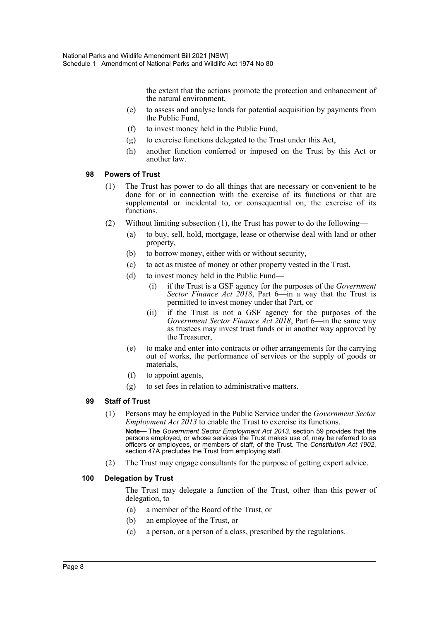the extent that the actions promote the protection and enhancement of the natural environment,

- (e) to assess and analyse lands for potential acquisition by payments from the Public Fund,
- (f) to invest money held in the Public Fund,
- (g) to exercise functions delegated to the Trust under this Act,
- (h) another function conferred or imposed on the Trust by this Act or another law.

#### **98 Powers of Trust**

- (1) The Trust has power to do all things that are necessary or convenient to be done for or in connection with the exercise of its functions or that are supplemental or incidental to, or consequential on, the exercise of its functions.
- (2) Without limiting subsection (1), the Trust has power to do the following—
	- (a) to buy, sell, hold, mortgage, lease or otherwise deal with land or other property,
	- (b) to borrow money, either with or without security,
	- (c) to act as trustee of money or other property vested in the Trust,
	- (d) to invest money held in the Public Fund—
		- (i) if the Trust is a GSF agency for the purposes of the *Government Sector Finance Act 2018*, Part 6—in a way that the Trust is permitted to invest money under that Part, or
		- (ii) if the Trust is not a GSF agency for the purposes of the *Government Sector Finance Act 2018*, Part 6—in the same way as trustees may invest trust funds or in another way approved by the Treasurer,
	- (e) to make and enter into contracts or other arrangements for the carrying out of works, the performance of services or the supply of goods or materials,
	- (f) to appoint agents,
	- (g) to set fees in relation to administrative matters.

#### **99 Staff of Trust**

- (1) Persons may be employed in the Public Service under the *Government Sector Employment Act 2013* to enable the Trust to exercise its functions. **Note—** The *Government Sector Employment Act 2013*, section 59 provides that the persons employed, or whose services the Trust makes use of, may be referred to as officers or employees, or members of staff, of the Trust. The *Constitution Act 1902*, section 47A precludes the Trust from employing staff.
- (2) The Trust may engage consultants for the purpose of getting expert advice.

#### **100 Delegation by Trust**

The Trust may delegate a function of the Trust, other than this power of delegation, to—

- (a) a member of the Board of the Trust, or
- (b) an employee of the Trust, or
- (c) a person, or a person of a class, prescribed by the regulations.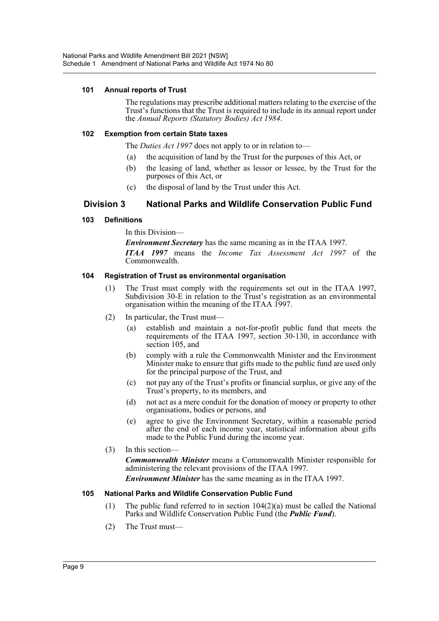#### **101 Annual reports of Trust**

The regulations may prescribe additional matters relating to the exercise of the Trust's functions that the Trust is required to include in its annual report under the *Annual Reports (Statutory Bodies) Act 1984*.

#### **102 Exemption from certain State taxes**

The *Duties Act 1997* does not apply to or in relation to—

- (a) the acquisition of land by the Trust for the purposes of this Act, or
- (b) the leasing of land, whether as lessor or lessee, by the Trust for the purposes of this Act, or
- (c) the disposal of land by the Trust under this Act.

# **Division 3 National Parks and Wildlife Conservation Public Fund**

# **103 Definitions**

In this Division—

*Environment Secretary* has the same meaning as in the ITAA 1997.

*ITAA 1997* means the *Income Tax Assessment Act 1997* of the Commonwealth.

# **104 Registration of Trust as environmental organisation**

- (1) The Trust must comply with the requirements set out in the ITAA 1997, Subdivision 30-E in relation to the Trust's registration as an environmental organisation within the meaning of the ITAA 1997.
- (2) In particular, the Trust must—
	- (a) establish and maintain a not-for-profit public fund that meets the requirements of the ITAA 1997, section 30-130, in accordance with section 105, and
	- (b) comply with a rule the Commonwealth Minister and the Environment Minister make to ensure that gifts made to the public fund are used only for the principal purpose of the Trust, and
	- (c) not pay any of the Trust's profits or financial surplus, or give any of the Trust's property, to its members, and
	- (d) not act as a mere conduit for the donation of money or property to other organisations, bodies or persons, and
	- (e) agree to give the Environment Secretary, within a reasonable period after the end of each income year, statistical information about gifts made to the Public Fund during the income year.
- (3) In this section—

*Commonwealth Minister* means a Commonwealth Minister responsible for administering the relevant provisions of the ITAA 1997.

*Environment Minister* has the same meaning as in the ITAA 1997.

#### **105 National Parks and Wildlife Conservation Public Fund**

- (1) The public fund referred to in section  $104(2)(a)$  must be called the National Parks and Wildlife Conservation Public Fund (the *Public Fund*).
- (2) The Trust must—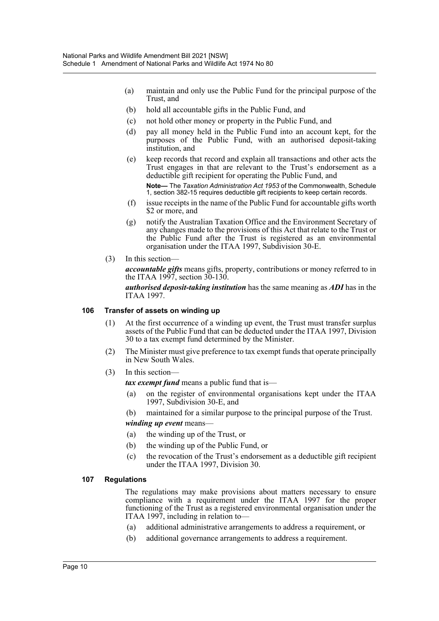- (a) maintain and only use the Public Fund for the principal purpose of the Trust, and
- (b) hold all accountable gifts in the Public Fund, and
- (c) not hold other money or property in the Public Fund, and
- (d) pay all money held in the Public Fund into an account kept, for the purposes of the Public Fund, with an authorised deposit-taking institution, and
- (e) keep records that record and explain all transactions and other acts the Trust engages in that are relevant to the Trust's endorsement as a deductible gift recipient for operating the Public Fund, and **Note—** The *Taxation Administration Act 1953* of the Commonwealth, Schedule 1, section 382-15 requires deductible gift recipients to keep certain records.
- (f) issue receipts in the name of the Public Fund for accountable gifts worth \$2 or more, and
- (g) notify the Australian Taxation Office and the Environment Secretary of any changes made to the provisions of this Act that relate to the Trust or the Public Fund after the Trust is registered as an environmental organisation under the ITAA 1997, Subdivision 30-E.
- (3) In this section—

*accountable gifts* means gifts, property, contributions or money referred to in the ITAA 1997, section  $30-130$ .

*authorised deposit-taking institution* has the same meaning as *ADI* has in the ITAA 1997.

#### **106 Transfer of assets on winding up**

- (1) At the first occurrence of a winding up event, the Trust must transfer surplus assets of the Public Fund that can be deducted under the ITAA 1997, Division 30 to a tax exempt fund determined by the Minister.
- (2) The Minister must give preference to tax exempt funds that operate principally in New South Wales.
- (3) In this section—

*tax exempt fund* means a public fund that is—

(a) on the register of environmental organisations kept under the ITAA 1997, Subdivision 30-E, and

(b) maintained for a similar purpose to the principal purpose of the Trust.

*winding up event* means—

- (a) the winding up of the Trust, or
- (b) the winding up of the Public Fund, or
- (c) the revocation of the Trust's endorsement as a deductible gift recipient under the ITAA 1997, Division 30.

#### **107 Regulations**

The regulations may make provisions about matters necessary to ensure compliance with a requirement under the ITAA 1997 for the proper functioning of the Trust as a registered environmental organisation under the ITAA 1997, including in relation to—

- (a) additional administrative arrangements to address a requirement, or
- (b) additional governance arrangements to address a requirement.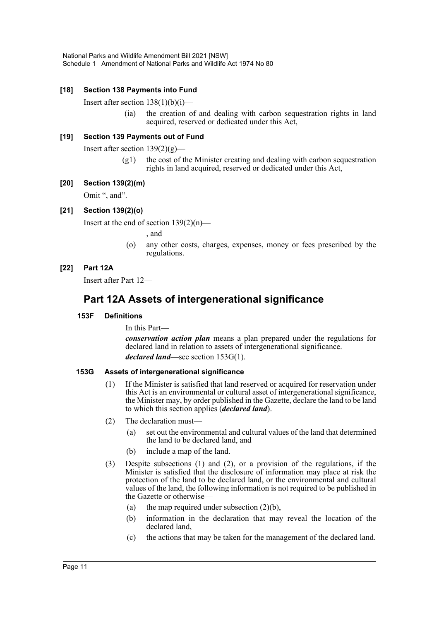# **[18] Section 138 Payments into Fund**

Insert after section  $138(1)(b)(i)$ —

(ia) the creation of and dealing with carbon sequestration rights in land acquired, reserved or dedicated under this Act,

#### **[19] Section 139 Payments out of Fund**

Insert after section  $139(2)(g)$ —

(g1) the cost of the Minister creating and dealing with carbon sequestration rights in land acquired, reserved or dedicated under this Act,

#### **[20] Section 139(2)(m)**

Omit ", and".

#### **[21] Section 139(2)(o)**

Insert at the end of section  $139(2)(n)$ —

, and

(o) any other costs, charges, expenses, money or fees prescribed by the regulations.

#### **[22] Part 12A**

Insert after Part 12—

# **Part 12A Assets of intergenerational significance**

#### **153F Definitions**

In this Part—

*conservation action plan* means a plan prepared under the regulations for declared land in relation to assets of intergenerational significance. *declared land*—see section 153G(1).

#### **153G Assets of intergenerational significance**

- (1) If the Minister is satisfied that land reserved or acquired for reservation under this Act is an environmental or cultural asset of intergenerational significance, the Minister may, by order published in the Gazette, declare the land to be land to which this section applies (*declared land*).
- $(2)$  The declaration must-
	- (a) set out the environmental and cultural values of the land that determined the land to be declared land, and
	- (b) include a map of the land.
- (3) Despite subsections (1) and (2), or a provision of the regulations, if the Minister is satisfied that the disclosure of information may place at risk the protection of the land to be declared land, or the environmental and cultural values of the land, the following information is not required to be published in the Gazette or otherwise—
	- (a) the map required under subsection  $(2)(b)$ ,
	- (b) information in the declaration that may reveal the location of the declared land,
	- (c) the actions that may be taken for the management of the declared land.

#### Page 11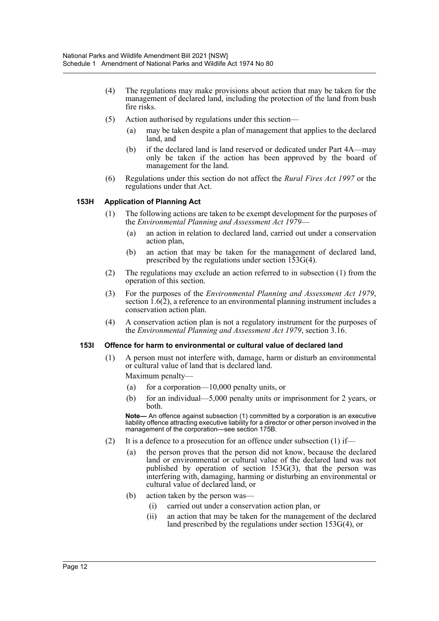- (4) The regulations may make provisions about action that may be taken for the management of declared land, including the protection of the land from bush fire risks.
- (5) Action authorised by regulations under this section—
	- (a) may be taken despite a plan of management that applies to the declared land, and
	- (b) if the declared land is land reserved or dedicated under Part 4A—may only be taken if the action has been approved by the board of management for the land.
- (6) Regulations under this section do not affect the *Rural Fires Act 1997* or the regulations under that Act.

# **153H Application of Planning Act**

- (1) The following actions are taken to be exempt development for the purposes of the *Environmental Planning and Assessment Act 1979*—
	- (a) an action in relation to declared land, carried out under a conservation action plan,
	- (b) an action that may be taken for the management of declared land, prescribed by the regulations under section 153G(4).
- (2) The regulations may exclude an action referred to in subsection (1) from the operation of this section.
- (3) For the purposes of the *Environmental Planning and Assessment Act 1979*, section 1.6(2), a reference to an environmental planning instrument includes a conservation action plan.
- (4) A conservation action plan is not a regulatory instrument for the purposes of the *Environmental Planning and Assessment Act 1979*, section 3.16.

#### **153I Offence for harm to environmental or cultural value of declared land**

(1) A person must not interfere with, damage, harm or disturb an environmental or cultural value of land that is declared land.

Maximum penalty—

- (a) for a corporation—10,000 penalty units, or
- (b) for an individual—5,000 penalty units or imprisonment for 2 years, or both.

**Note—** An offence against subsection (1) committed by a corporation is an executive liability offence attracting executive liability for a director or other person involved in the management of the corporation—see section 175B.

- (2) It is a defence to a prosecution for an offence under subsection  $(1)$  if—
	- (a) the person proves that the person did not know, because the declared land or environmental or cultural value of the declared land was not published by operation of section 153G(3), that the person was interfering with, damaging, harming or disturbing an environmental or cultural value of declared land, or
	- (b) action taken by the person was—
		- (i) carried out under a conservation action plan, or
		- (ii) an action that may be taken for the management of the declared land prescribed by the regulations under section 153G(4), or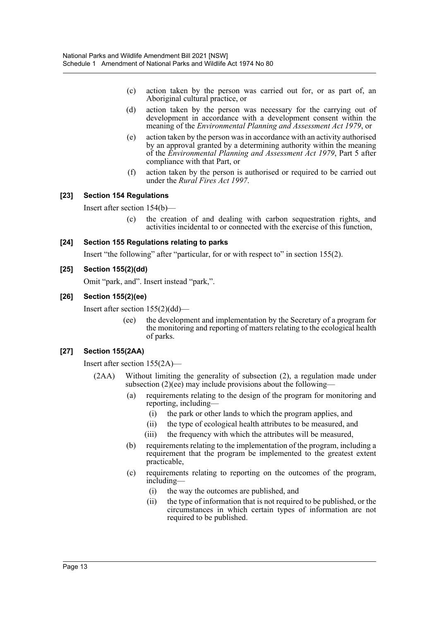- (c) action taken by the person was carried out for, or as part of, an Aboriginal cultural practice, or
- (d) action taken by the person was necessary for the carrying out of development in accordance with a development consent within the meaning of the *Environmental Planning and Assessment Act 1979*, or
- (e) action taken by the person was in accordance with an activity authorised by an approval granted by a determining authority within the meaning of the *Environmental Planning and Assessment Act 1979*, Part 5 after compliance with that Part, or
- (f) action taken by the person is authorised or required to be carried out under the *Rural Fires Act 1997*.

# **[23] Section 154 Regulations**

Insert after section 154(b)—

(c) the creation of and dealing with carbon sequestration rights, and activities incidental to or connected with the exercise of this function,

# **[24] Section 155 Regulations relating to parks**

Insert "the following" after "particular, for or with respect to" in section 155(2).

#### **[25] Section 155(2)(dd)**

Omit "park, and". Insert instead "park,".

#### **[26] Section 155(2)(ee)**

Insert after section 155(2)(dd)—

(ee) the development and implementation by the Secretary of a program for the monitoring and reporting of matters relating to the ecological health of parks.

# **[27] Section 155(2AA)**

Insert after section 155(2A)—

- (2AA) Without limiting the generality of subsection (2), a regulation made under subsection  $(2)(e^{\frac{1}{e}})$  may include provisions about the following-
	- (a) requirements relating to the design of the program for monitoring and reporting, including—
		- (i) the park or other lands to which the program applies, and
		- (ii) the type of ecological health attributes to be measured, and
		- (iii) the frequency with which the attributes will be measured,
	- (b) requirements relating to the implementation of the program, including a requirement that the program be implemented to the greatest extent practicable,
	- (c) requirements relating to reporting on the outcomes of the program, including—
		- (i) the way the outcomes are published, and
		- (ii) the type of information that is not required to be published, or the circumstances in which certain types of information are not required to be published.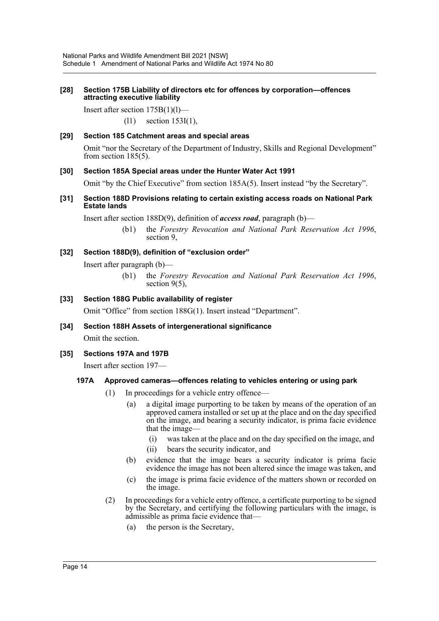#### **[28] Section 175B Liability of directors etc for offences by corporation—offences attracting executive liability**

Insert after section 175B(1)(l)—

(l1) section 153I(1),

# **[29] Section 185 Catchment areas and special areas**

Omit "nor the Secretary of the Department of Industry, Skills and Regional Development" from section 185(5).

#### **[30] Section 185A Special areas under the Hunter Water Act 1991**

Omit "by the Chief Executive" from section 185A(5). Insert instead "by the Secretary".

#### **[31] Section 188D Provisions relating to certain existing access roads on National Park Estate lands**

Insert after section 188D(9), definition of *access road*, paragraph (b)—

(b1) the *Forestry Revocation and National Park Reservation Act 1996*, section 9,

# **[32] Section 188D(9), definition of "exclusion order"**

Insert after paragraph (b)—

(b1) the *Forestry Revocation and National Park Reservation Act 1996*, section 9(5).

#### **[33] Section 188G Public availability of register**

Omit "Office" from section 188G(1). Insert instead "Department".

**[34] Section 188H Assets of intergenerational significance**

Omit the section.

#### **[35] Sections 197A and 197B**

Insert after section 197—

#### **197A Approved cameras—offences relating to vehicles entering or using park**

- (1) In proceedings for a vehicle entry offence—
	- (a) a digital image purporting to be taken by means of the operation of an approved camera installed or set up at the place and on the day specified on the image, and bearing a security indicator, is prima facie evidence that the image—
		- (i) was taken at the place and on the day specified on the image, and
		- (ii) bears the security indicator, and
	- (b) evidence that the image bears a security indicator is prima facie evidence the image has not been altered since the image was taken, and
	- (c) the image is prima facie evidence of the matters shown or recorded on the image.
- (2) In proceedings for a vehicle entry offence, a certificate purporting to be signed by the Secretary, and certifying the following particulars with the image, is admissible as prima facie evidence that—
	- (a) the person is the Secretary,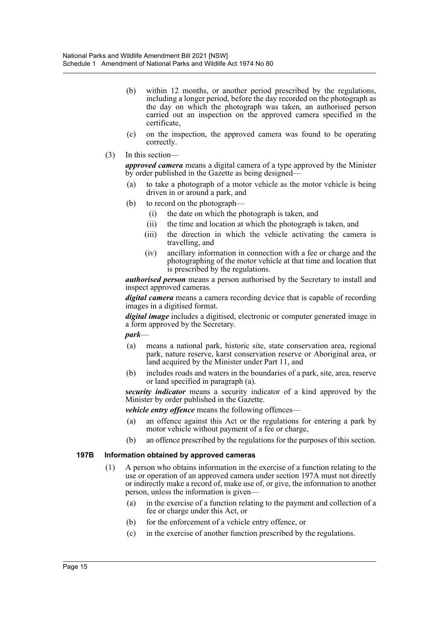- (b) within 12 months, or another period prescribed by the regulations, including a longer period, before the day recorded on the photograph as the day on which the photograph was taken, an authorised person carried out an inspection on the approved camera specified in the certificate,
- (c) on the inspection, the approved camera was found to be operating correctly.
- (3) In this section—

*approved camera* means a digital camera of a type approved by the Minister by order published in the Gazette as being designed—

- (a) to take a photograph of a motor vehicle as the motor vehicle is being driven in or around a park, and
- (b) to record on the photograph—
	- (i) the date on which the photograph is taken, and
	- (ii) the time and location at which the photograph is taken, and
	- (iii) the direction in which the vehicle activating the camera is travelling, and
	- (iv) ancillary information in connection with a fee or charge and the photographing of the motor vehicle at that time and location that is prescribed by the regulations.

*authorised person* means a person authorised by the Secretary to install and inspect approved cameras.

*digital camera* means a camera recording device that is capable of recording images in a digitised format.

*digital image* includes a digitised, electronic or computer generated image in a form approved by the Secretary.

*park*—

- (a) means a national park, historic site, state conservation area, regional park, nature reserve, karst conservation reserve or Aboriginal area, or land acquired by the Minister under Part 11, and
- (b) includes roads and waters in the boundaries of a park, site, area, reserve or land specified in paragraph (a).

*security indicator* means a security indicator of a kind approved by the Minister by order published in the Gazette.

*vehicle entry offence* means the following offences—

- (a) an offence against this Act or the regulations for entering a park by motor vehicle without payment of a fee or charge,
- (b) an offence prescribed by the regulations for the purposes of this section.

#### **197B Information obtained by approved cameras**

- (1) A person who obtains information in the exercise of a function relating to the use or operation of an approved camera under section 197A must not directly or indirectly make a record of, make use of, or give, the information to another person, unless the information is given—
	- (a) in the exercise of a function relating to the payment and collection of a fee or charge under this Act, or
	- (b) for the enforcement of a vehicle entry offence, or
	- (c) in the exercise of another function prescribed by the regulations.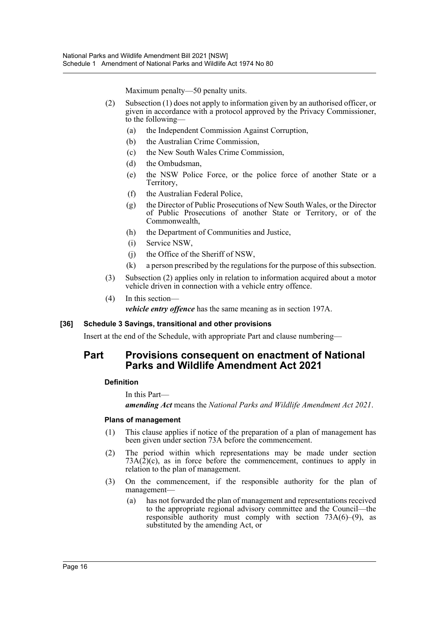Maximum penalty—50 penalty units.

- (2) Subsection (1) does not apply to information given by an authorised officer, or given in accordance with a protocol approved by the Privacy Commissioner, to the following—
	- (a) the Independent Commission Against Corruption,
	- (b) the Australian Crime Commission,
	- (c) the New South Wales Crime Commission,
	- (d) the Ombudsman,
	- (e) the NSW Police Force, or the police force of another State or a Territory,
	- (f) the Australian Federal Police,
	- (g) the Director of Public Prosecutions of New South Wales, or the Director of Public Prosecutions of another State or Territory, or of the Commonwealth,
	- (h) the Department of Communities and Justice,
	- (i) Service NSW,
	- (j) the Office of the Sheriff of NSW,
	- (k) a person prescribed by the regulations for the purpose of this subsection.
- (3) Subsection (2) applies only in relation to information acquired about a motor vehicle driven in connection with a vehicle entry offence.
- (4) In this section *vehicle entry offence* has the same meaning as in section 197A.

#### **[36] Schedule 3 Savings, transitional and other provisions**

Insert at the end of the Schedule, with appropriate Part and clause numbering—

# **Part Provisions consequent on enactment of National Parks and Wildlife Amendment Act 2021**

#### **Definition**

In this Part—

*amending Act* means the *National Parks and Wildlife Amendment Act 2021*.

#### **Plans of management**

- (1) This clause applies if notice of the preparation of a plan of management has been given under section 73A before the commencement.
- (2) The period within which representations may be made under section  $73A(2)(c)$ , as in force before the commencement, continues to apply in relation to the plan of management.
- (3) On the commencement, if the responsible authority for the plan of management—
	- (a) has not forwarded the plan of management and representations received to the appropriate regional advisory committee and the Council—the responsible authority must comply with section  $73A(6)$ –(9), as substituted by the amending Act, or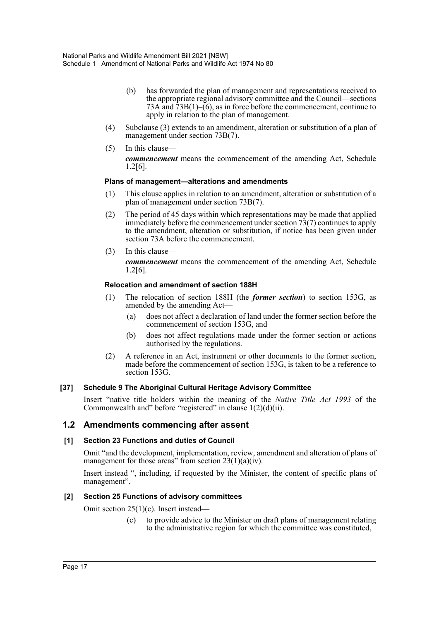- (b) has forwarded the plan of management and representations received to the appropriate regional advisory committee and the Council—sections 73A and  $\overline{7}3B(1)$ –(6), as in force before the commencement, continue to apply in relation to the plan of management.
- (4) Subclause (3) extends to an amendment, alteration or substitution of a plan of management under section 73B(7).
- (5) In this clause *commencement* means the commencement of the amending Act, Schedule 1.2[6].

# **Plans of management—alterations and amendments**

- (1) This clause applies in relation to an amendment, alteration or substitution of a plan of management under section 73B(7).
- (2) The period of 45 days within which representations may be made that applied immediately before the commencement under section  $73(7)$  continues to apply to the amendment, alteration or substitution, if notice has been given under section 73A before the commencement.
- (3) In this clause—

*commencement* means the commencement of the amending Act, Schedule 1.2[6].

# **Relocation and amendment of section 188H**

- (1) The relocation of section 188H (the *former section*) to section 153G, as amended by the amending Act—
	- (a) does not affect a declaration of land under the former section before the commencement of section 153G, and
	- (b) does not affect regulations made under the former section or actions authorised by the regulations.
- (2) A reference in an Act, instrument or other documents to the former section, made before the commencement of section 153G, is taken to be a reference to section 153G.

#### **[37] Schedule 9 The Aboriginal Cultural Heritage Advisory Committee**

Insert "native title holders within the meaning of the *Native Title Act 1993* of the Commonwealth and" before "registered" in clause  $1(2)(d)(ii)$ .

# **1.2 Amendments commencing after assent**

#### **[1] Section 23 Functions and duties of Council**

Omit "and the development, implementation, review, amendment and alteration of plans of management for those areas" from section  $23(1)(a)(iv)$ .

Insert instead ", including, if requested by the Minister, the content of specific plans of management".

#### **[2] Section 25 Functions of advisory committees**

Omit section 25(1)(c). Insert instead—

(c) to provide advice to the Minister on draft plans of management relating to the administrative region for which the committee was constituted,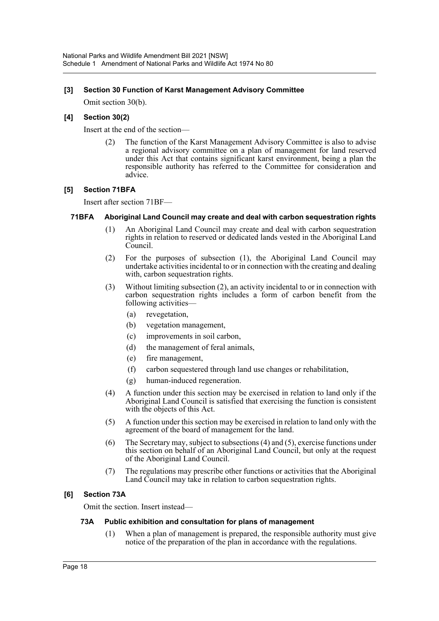# **[3] Section 30 Function of Karst Management Advisory Committee**

Omit section 30(b).

# **[4] Section 30(2)**

Insert at the end of the section—

The function of the Karst Management Advisory Committee is also to advise a regional advisory committee on a plan of management for land reserved under this Act that contains significant karst environment, being a plan the responsible authority has referred to the Committee for consideration and advice.

# **[5] Section 71BFA**

Insert after section 71BF—

# **71BFA Aboriginal Land Council may create and deal with carbon sequestration rights**

- (1) An Aboriginal Land Council may create and deal with carbon sequestration rights in relation to reserved or dedicated lands vested in the Aboriginal Land Council.
- (2) For the purposes of subsection (1), the Aboriginal Land Council may undertake activities incidental to or in connection with the creating and dealing with, carbon sequestration rights.
- (3) Without limiting subsection (2), an activity incidental to or in connection with carbon sequestration rights includes a form of carbon benefit from the following activities—
	- (a) revegetation,
	- (b) vegetation management,
	- (c) improvements in soil carbon,
	- (d) the management of feral animals,
	- (e) fire management,
	- (f) carbon sequestered through land use changes or rehabilitation,
	- (g) human-induced regeneration.
- (4) A function under this section may be exercised in relation to land only if the Aboriginal Land Council is satisfied that exercising the function is consistent with the objects of this Act.
- (5) A function under this section may be exercised in relation to land only with the agreement of the board of management for the land.
- (6) The Secretary may, subject to subsections (4) and (5), exercise functions under this section on behalf of an Aboriginal Land Council, but only at the request of the Aboriginal Land Council.
- (7) The regulations may prescribe other functions or activities that the Aboriginal Land Council may take in relation to carbon sequestration rights.

# **[6] Section 73A**

Omit the section. Insert instead—

#### **73A Public exhibition and consultation for plans of management**

(1) When a plan of management is prepared, the responsible authority must give notice of the preparation of the plan in accordance with the regulations.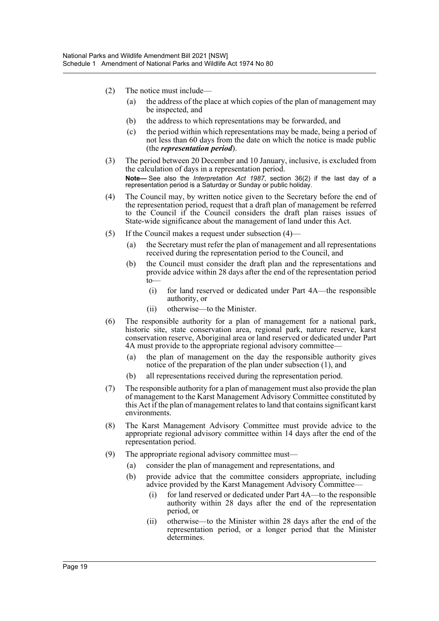- (2) The notice must include—
	- (a) the address of the place at which copies of the plan of management may be inspected, and
	- (b) the address to which representations may be forwarded, and
	- (c) the period within which representations may be made, being a period of not less than 60 days from the date on which the notice is made public (the *representation period*).
- (3) The period between 20 December and 10 January, inclusive, is excluded from the calculation of days in a representation period. **Note—** See also the *Interpretation Act 1987*, section 36(2) if the last day of a representation period is a Saturday or Sunday or public holiday.
- (4) The Council may, by written notice given to the Secretary before the end of the representation period, request that a draft plan of management be referred to the Council if the Council considers the draft plan raises issues of State-wide significance about the management of land under this Act.
- (5) If the Council makes a request under subsection (4)—
	- (a) the Secretary must refer the plan of management and all representations received during the representation period to the Council, and
	- (b) the Council must consider the draft plan and the representations and provide advice within 28 days after the end of the representation period  $t_0$ 
		- (i) for land reserved or dedicated under Part 4A—the responsible authority, or
		- (ii) otherwise—to the Minister.
- (6) The responsible authority for a plan of management for a national park, historic site, state conservation area, regional park, nature reserve, karst conservation reserve, Aboriginal area or land reserved or dedicated under Part 4A must provide to the appropriate regional advisory committee—
	- (a) the plan of management on the day the responsible authority gives notice of the preparation of the plan under subsection (1), and
	- (b) all representations received during the representation period.
- (7) The responsible authority for a plan of management must also provide the plan of management to the Karst Management Advisory Committee constituted by this Act if the plan of management relates to land that contains significant karst environments.
- (8) The Karst Management Advisory Committee must provide advice to the appropriate regional advisory committee within 14 days after the end of the representation period.
- (9) The appropriate regional advisory committee must—
	- (a) consider the plan of management and representations, and
	- (b) provide advice that the committee considers appropriate, including advice provided by the Karst Management Advisory Committee—
		- (i) for land reserved or dedicated under Part 4A—to the responsible authority within 28 days after the end of the representation period, or
		- (ii) otherwise—to the Minister within 28 days after the end of the representation period, or a longer period that the Minister determines.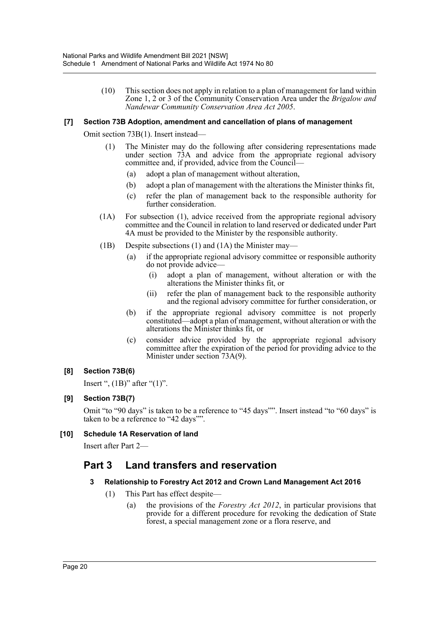(10) This section does not apply in relation to a plan of management for land within Zone 1, 2 or 3 of the Community Conservation Area under the *Brigalow and Nandewar Community Conservation Area Act 2005*.

# **[7] Section 73B Adoption, amendment and cancellation of plans of management**

Omit section 73B(1). Insert instead—

- (1) The Minister may do the following after considering representations made under section 73A and advice from the appropriate regional advisory committee and, if provided, advice from the Council—
	- (a) adopt a plan of management without alteration,
	- (b) adopt a plan of management with the alterations the Minister thinks fit,
	- (c) refer the plan of management back to the responsible authority for further consideration.
- (1A) For subsection (1), advice received from the appropriate regional advisory committee and the Council in relation to land reserved or dedicated under Part 4A must be provided to the Minister by the responsible authority.
- (1B) Despite subsections (1) and (1A) the Minister may—
	- (a) if the appropriate regional advisory committee or responsible authority do not provide advice—
		- (i) adopt a plan of management, without alteration or with the alterations the Minister thinks fit, or
		- (ii) refer the plan of management back to the responsible authority and the regional advisory committee for further consideration, or
	- (b) if the appropriate regional advisory committee is not properly constituted—adopt a plan of management, without alteration or with the alterations the Minister thinks fit, or
	- (c) consider advice provided by the appropriate regional advisory committee after the expiration of the period for providing advice to the Minister under section 73A(9).

#### **[8] Section 73B(6)**

Insert ",  $(1B)$ " after " $(1)$ ".

#### **[9] Section 73B(7)**

Omit "to "90 days" is taken to be a reference to "45 days"". Insert instead "to "60 days" is taken to be a reference to "42 days"".

#### **[10] Schedule 1A Reservation of land**

Insert after Part 2—

# **Part 3 Land transfers and reservation**

#### **3 Relationship to Forestry Act 2012 and Crown Land Management Act 2016**

- (1) This Part has effect despite—
	- (a) the provisions of the *Forestry Act 2012*, in particular provisions that provide for a different procedure for revoking the dedication of State forest, a special management zone or a flora reserve, and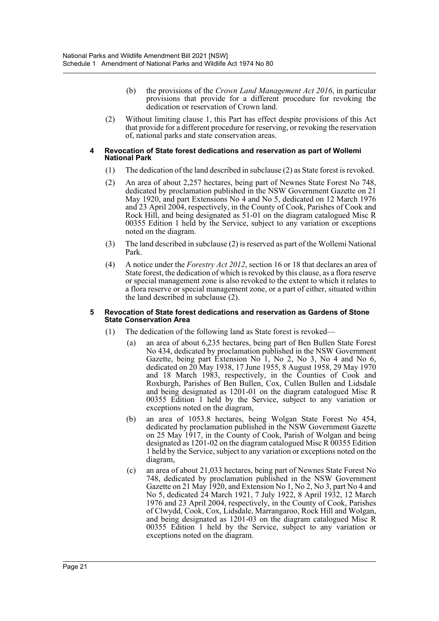- (b) the provisions of the *Crown Land Management Act 2016*, in particular provisions that provide for a different procedure for revoking the dedication or reservation of Crown land.
- (2) Without limiting clause 1, this Part has effect despite provisions of this Act that provide for a different procedure for reserving, or revoking the reservation of, national parks and state conservation areas.

#### **4 Revocation of State forest dedications and reservation as part of Wollemi National Park**

- (1) The dedication of the land described in subclause (2) as State forest is revoked.
- (2) An area of about 2,257 hectares, being part of Newnes State Forest No 748, dedicated by proclamation published in the NSW Government Gazette on 21 May 1920, and part Extensions No 4 and No 5, dedicated on 12 March 1976 and 23 April 2004, respectively, in the County of Cook, Parishes of Cook and Rock Hill, and being designated as 51-01 on the diagram catalogued Misc R 00355 Edition 1 held by the Service, subject to any variation or exceptions noted on the diagram.
- (3) The land described in subclause (2) is reserved as part of the Wollemi National Park.
- (4) A notice under the *Forestry Act 2012*, section 16 or 18 that declares an area of State forest, the dedication of which is revoked by this clause, as a flora reserve or special management zone is also revoked to the extent to which it relates to a flora reserve or special management zone, or a part of either, situated within the land described in subclause (2).

#### **5 Revocation of State forest dedications and reservation as Gardens of Stone State Conservation Area**

- (1) The dedication of the following land as State forest is revoked—
	- (a) an area of about 6,235 hectares, being part of Ben Bullen State Forest No 434, dedicated by proclamation published in the NSW Government Gazette, being part Extension No 1, No 2, No 3, No 4 and No 6, dedicated on 20 May 1938, 17 June 1955, 8 August 1958, 29 May 1970 and 18 March 1983, respectively, in the Counties of Cook and Roxburgh, Parishes of Ben Bullen, Cox, Cullen Bullen and Lidsdale and being designated as 1201-01 on the diagram catalogued Misc R 00355 Edition 1 held by the Service, subject to any variation or exceptions noted on the diagram,
	- (b) an area of 1053.8 hectares, being Wolgan State Forest No 454, dedicated by proclamation published in the NSW Government Gazette on 25 May 1917, in the County of Cook, Parish of Wolgan and being designated as 1201-02 on the diagram catalogued Misc R 00355 Edition 1 held by the Service, subject to any variation or exceptions noted on the diagram,
	- (c) an area of about 21,033 hectares, being part of Newnes State Forest No 748, dedicated by proclamation published in the NSW Government Gazette on 21 May 1920, and Extension No 1, No 2, No 3, part No 4 and No 5, dedicated 24 March 1921, 7 July 1922, 8 April 1932, 12 March 1976 and 23 April 2004, respectively, in the County of Cook, Parishes of Clwydd, Cook, Cox, Lidsdale, Marrangaroo, Rock Hill and Wolgan, and being designated as 1201-03 on the diagram catalogued Misc R 00355 Edition 1 held by the Service, subject to any variation or exceptions noted on the diagram.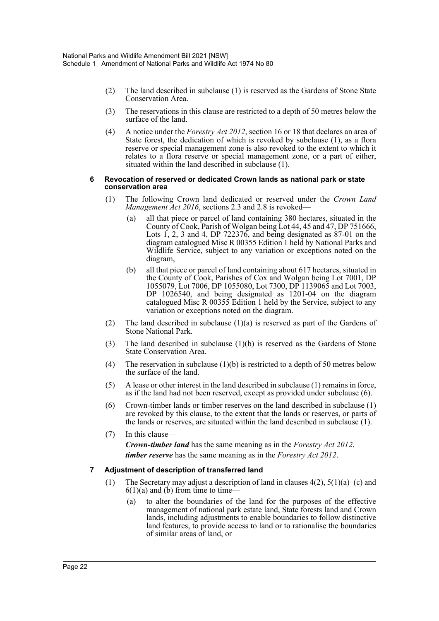- (2) The land described in subclause (1) is reserved as the Gardens of Stone State Conservation Area.
- (3) The reservations in this clause are restricted to a depth of 50 metres below the surface of the land.
- (4) A notice under the *Forestry Act 2012*, section 16 or 18 that declares an area of State forest, the dedication of which is revoked by subclause (1), as a flora reserve or special management zone is also revoked to the extent to which it relates to a flora reserve or special management zone, or a part of either, situated within the land described in subclause (1).

#### **6 Revocation of reserved or dedicated Crown lands as national park or state conservation area**

- (1) The following Crown land dedicated or reserved under the *Crown Land Management Act 2016*, sections 2.3 and 2.8 is revoked—
	- (a) all that piece or parcel of land containing 380 hectares, situated in the County of Cook, Parish of Wolgan being Lot 44, 45 and 47, DP 751666, Lots 1, 2, 3 and 4, DP 722376, and being designated as 87-01 on the diagram catalogued Misc R 00355 Edition 1 held by National Parks and Wildlife Service, subject to any variation or exceptions noted on the diagram,
	- (b) all that piece or parcel of land containing about 617 hectares, situated in the County of Cook, Parishes of Cox and Wolgan being Lot 7001, DP 1055079, Lot 7006, DP 1055080, Lot 7300, DP 1139065 and Lot 7003, DP 1026540, and being designated as 1201-04 on the diagram catalogued Misc R 00355 Edition 1 held by the Service, subject to any variation or exceptions noted on the diagram.
- (2) The land described in subclause (1)(a) is reserved as part of the Gardens of Stone National Park.
- (3) The land described in subclause (1)(b) is reserved as the Gardens of Stone State Conservation Area.
- (4) The reservation in subclause  $(1)(b)$  is restricted to a depth of 50 metres below the surface of the land.
- (5) A lease or other interest in the land described in subclause (1) remains in force, as if the land had not been reserved, except as provided under subclause (6).
- (6) Crown-timber lands or timber reserves on the land described in subclause (1) are revoked by this clause, to the extent that the lands or reserves, or parts of the lands or reserves, are situated within the land described in subclause (1).
- (7) In this clause—

*Crown-timber land* has the same meaning as in the *Forestry Act 2012*. *timber reserve* has the same meaning as in the *Forestry Act 2012*.

# **7 Adjustment of description of transferred land**

- (1) The Secretary may adjust a description of land in clauses 4(2), 5(1)(a)–(c) and  $6(1)(a)$  and (b) from time to time—
	- (a) to alter the boundaries of the land for the purposes of the effective management of national park estate land, State forests land and Crown lands, including adjustments to enable boundaries to follow distinctive land features, to provide access to land or to rationalise the boundaries of similar areas of land, or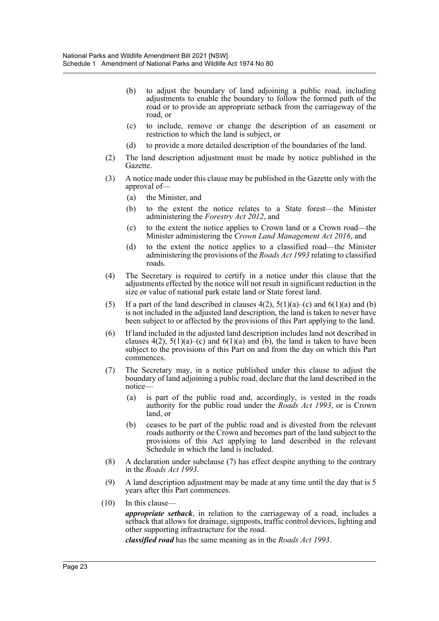- (b) to adjust the boundary of land adjoining a public road, including adjustments to enable the boundary to follow the formed path of the road or to provide an appropriate setback from the carriageway of the road, or
- (c) to include, remove or change the description of an easement or restriction to which the land is subject, or
- (d) to provide a more detailed description of the boundaries of the land.
- (2) The land description adjustment must be made by notice published in the Gazette.
- (3) A notice made under this clause may be published in the Gazette only with the approval of—
	- (a) the Minister, and
	- (b) to the extent the notice relates to a State forest—the Minister administering the *Forestry Act 2012*, and
	- (c) to the extent the notice applies to Crown land or a Crown road—the Minister administering the *Crown Land Management Act 2016*, and
	- (d) to the extent the notice applies to a classified road—the Minister administering the provisions of the *Roads Act 1993* relating to classified roads.
- (4) The Secretary is required to certify in a notice under this clause that the adjustments effected by the notice will not result in significant reduction in the size or value of national park estate land or State forest land.
- (5) If a part of the land described in clauses  $4(2)$ ,  $5(1)(a)$ –(c) and  $6(1)(a)$  and (b) is not included in the adjusted land description, the land is taken to never have been subject to or affected by the provisions of this Part applying to the land.
- (6) If land included in the adjusted land description includes land not described in clauses  $4(2)$ ,  $5(1)(a)$ –(c) and  $6(1)(a)$  and (b), the land is taken to have been subject to the provisions of this Part on and from the day on which this Part commences.
- (7) The Secretary may, in a notice published under this clause to adjust the boundary of land adjoining a public road, declare that the land described in the notice—
	- (a) is part of the public road and, accordingly, is vested in the roads authority for the public road under the *Roads Act 1993*, or is Crown land, or
	- (b) ceases to be part of the public road and is divested from the relevant roads authority or the Crown and becomes part of the land subject to the provisions of this Act applying to land described in the relevant Schedule in which the land is included.
- (8) A declaration under subclause (7) has effect despite anything to the contrary in the *Roads Act 1993*.
- (9) A land description adjustment may be made at any time until the day that is 5 years after this Part commences.
- (10) In this clause *appropriate setback*, in relation to the carriageway of a road, includes a setback that allows for drainage, signposts, traffic control devices, lighting and other supporting infrastructure for the road.

*classified road* has the same meaning as in the *Roads Act 1993*.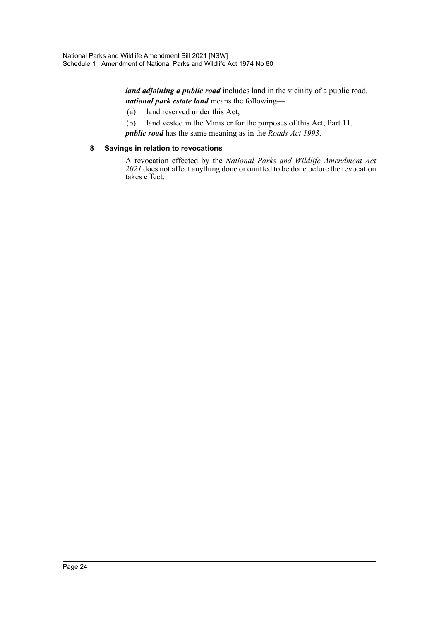*land adjoining a public road* includes land in the vicinity of a public road. *national park estate land* means the following—

- (a) land reserved under this Act,
- (b) land vested in the Minister for the purposes of this Act, Part 11.

*public road* has the same meaning as in the *Roads Act 1993*.

# **8 Savings in relation to revocations**

A revocation effected by the *National Parks and Wildlife Amendment Act 2021* does not affect anything done or omitted to be done before the revocation takes effect.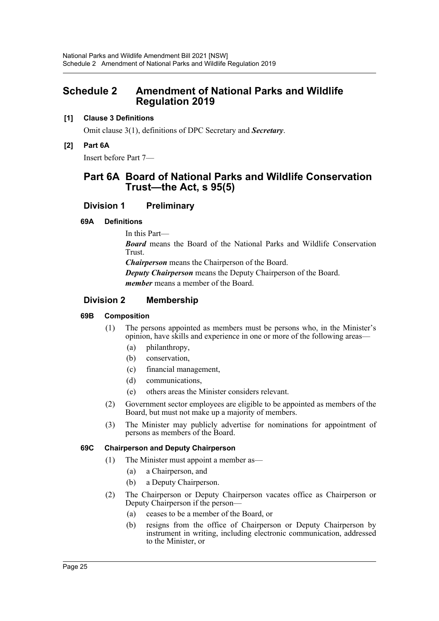# <span id="page-25-0"></span>**Schedule 2 Amendment of National Parks and Wildlife Regulation 2019**

# **[1] Clause 3 Definitions**

Omit clause 3(1), definitions of DPC Secretary and *Secretary*.

**[2] Part 6A**

Insert before Part 7—

# **Part 6A Board of National Parks and Wildlife Conservation Trust—the Act, s 95(5)**

# **Division 1 Preliminary**

# **69A Definitions**

In this Part— *Board* means the Board of the National Parks and Wildlife Conservation Trust. *Chairperson* means the Chairperson of the Board. *Deputy Chairperson* means the Deputy Chairperson of the Board. *member* means a member of the Board.

# **Division 2 Membership**

# **69B Composition**

- (1) The persons appointed as members must be persons who, in the Minister's opinion, have skills and experience in one or more of the following areas—
	- (a) philanthropy,
	- (b) conservation,
	- (c) financial management,
	- (d) communications,
	- (e) others areas the Minister considers relevant.
- (2) Government sector employees are eligible to be appointed as members of the Board, but must not make up a majority of members.
- (3) The Minister may publicly advertise for nominations for appointment of persons as members of the Board.

# **69C Chairperson and Deputy Chairperson**

- (1) The Minister must appoint a member as—
	- (a) a Chairperson, and
	- (b) a Deputy Chairperson.
- (2) The Chairperson or Deputy Chairperson vacates office as Chairperson or Deputy Chairperson if the person—
	- (a) ceases to be a member of the Board, or
	- (b) resigns from the office of Chairperson or Deputy Chairperson by instrument in writing, including electronic communication, addressed to the Minister, or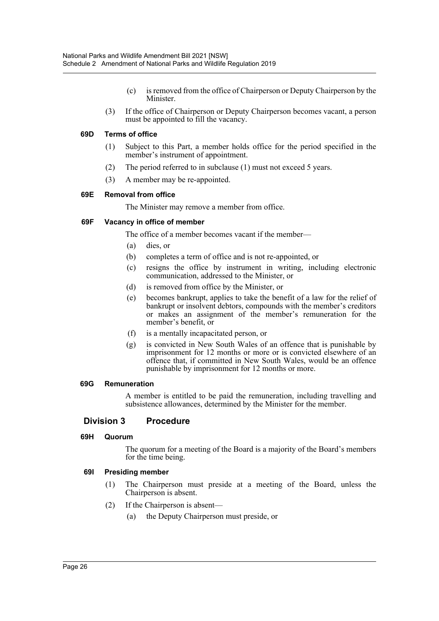- (c) is removed from the office of Chairperson or Deputy Chairperson by the Minister.
- (3) If the office of Chairperson or Deputy Chairperson becomes vacant, a person must be appointed to fill the vacancy.

#### **69D Terms of office**

- (1) Subject to this Part, a member holds office for the period specified in the member's instrument of appointment.
- (2) The period referred to in subclause (1) must not exceed 5 years.
- (3) A member may be re-appointed.

# **69E Removal from office**

The Minister may remove a member from office.

# **69F Vacancy in office of member**

The office of a member becomes vacant if the member—

- (a) dies, or
- (b) completes a term of office and is not re-appointed, or
- (c) resigns the office by instrument in writing, including electronic communication, addressed to the Minister, or
- (d) is removed from office by the Minister, or
- (e) becomes bankrupt, applies to take the benefit of a law for the relief of bankrupt or insolvent debtors, compounds with the member's creditors or makes an assignment of the member's remuneration for the member's benefit, or
- (f) is a mentally incapacitated person, or
- (g) is convicted in New South Wales of an offence that is punishable by imprisonment for 12 months or more or is convicted elsewhere of an offence that, if committed in New South Wales, would be an offence punishable by imprisonment for 12 months or more.

#### **69G Remuneration**

A member is entitled to be paid the remuneration, including travelling and subsistence allowances, determined by the Minister for the member.

# **Division 3 Procedure**

#### **69H Quorum**

The quorum for a meeting of the Board is a majority of the Board's members for the time being.

#### **69I Presiding member**

- (1) The Chairperson must preside at a meeting of the Board, unless the Chairperson is absent.
- (2) If the Chairperson is absent—
	- (a) the Deputy Chairperson must preside, or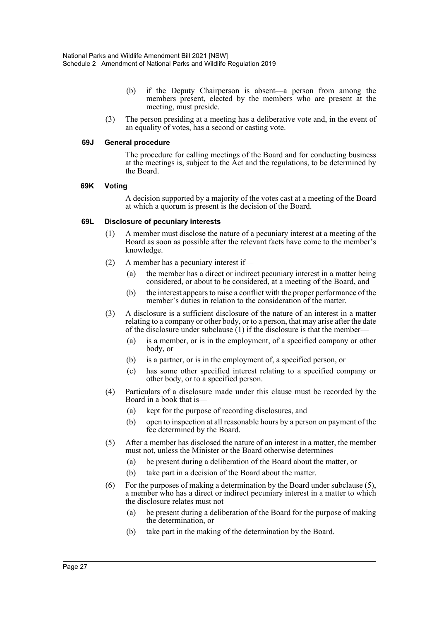- (b) if the Deputy Chairperson is absent—a person from among the members present, elected by the members who are present at the meeting, must preside.
- (3) The person presiding at a meeting has a deliberative vote and, in the event of an equality of votes, has a second or casting vote.

#### **69J General procedure**

The procedure for calling meetings of the Board and for conducting business at the meetings is, subject to the Act and the regulations, to be determined by the Board.

#### **69K Voting**

A decision supported by a majority of the votes cast at a meeting of the Board at which a quorum is present is the decision of the Board.

#### **69L Disclosure of pecuniary interests**

- (1) A member must disclose the nature of a pecuniary interest at a meeting of the Board as soon as possible after the relevant facts have come to the member's knowledge.
- (2) A member has a pecuniary interest if—
	- (a) the member has a direct or indirect pecuniary interest in a matter being considered, or about to be considered, at a meeting of the Board, and
	- (b) the interest appears to raise a conflict with the proper performance of the member's duties in relation to the consideration of the matter.
- (3) A disclosure is a sufficient disclosure of the nature of an interest in a matter relating to a company or other body, or to a person, that may arise after the date of the disclosure under subclause  $(1)$  if the disclosure is that the member-
	- (a) is a member, or is in the employment, of a specified company or other body, or
	- (b) is a partner, or is in the employment of, a specified person, or
	- (c) has some other specified interest relating to a specified company or other body, or to a specified person.
- (4) Particulars of a disclosure made under this clause must be recorded by the Board in a book that is—
	- (a) kept for the purpose of recording disclosures, and
	- (b) open to inspection at all reasonable hours by a person on payment of the fee determined by the Board.
- (5) After a member has disclosed the nature of an interest in a matter, the member must not, unless the Minister or the Board otherwise determines—
	- (a) be present during a deliberation of the Board about the matter, or
	- (b) take part in a decision of the Board about the matter.
- (6) For the purposes of making a determination by the Board under subclause (5), a member who has a direct or indirect pecuniary interest in a matter to which the disclosure relates must not—
	- (a) be present during a deliberation of the Board for the purpose of making the determination, or
	- (b) take part in the making of the determination by the Board.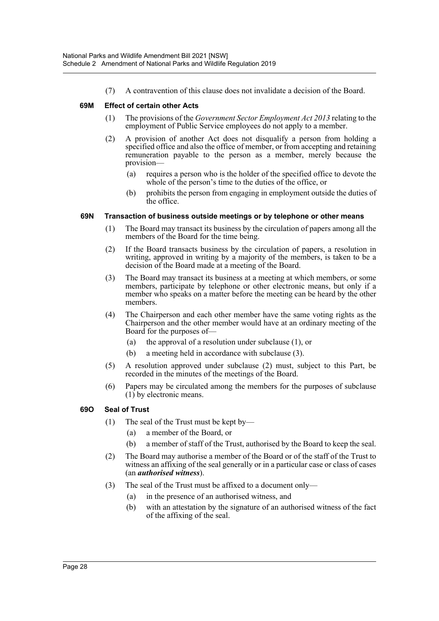(7) A contravention of this clause does not invalidate a decision of the Board.

# **69M Effect of certain other Acts**

- (1) The provisions of the *Government Sector Employment Act 2013* relating to the employment of Public Service employees do not apply to a member.
- (2) A provision of another Act does not disqualify a person from holding a specified office and also the office of member, or from accepting and retaining remuneration payable to the person as a member, merely because the provision—
	- (a) requires a person who is the holder of the specified office to devote the whole of the person's time to the duties of the office, or
	- (b) prohibits the person from engaging in employment outside the duties of the office.

# **69N Transaction of business outside meetings or by telephone or other means**

- (1) The Board may transact its business by the circulation of papers among all the members of the Board for the time being.
- (2) If the Board transacts business by the circulation of papers, a resolution in writing, approved in writing by a majority of the members, is taken to be a decision of the Board made at a meeting of the Board.
- (3) The Board may transact its business at a meeting at which members, or some members, participate by telephone or other electronic means, but only if a member who speaks on a matter before the meeting can be heard by the other members.
- (4) The Chairperson and each other member have the same voting rights as the Chairperson and the other member would have at an ordinary meeting of the Board for the purposes of—
	- (a) the approval of a resolution under subclause (1), or
	- (b) a meeting held in accordance with subclause (3).
- (5) A resolution approved under subclause (2) must, subject to this Part, be recorded in the minutes of the meetings of the Board.
- (6) Papers may be circulated among the members for the purposes of subclause (1) by electronic means.

# **69O Seal of Trust**

- (1) The seal of the Trust must be kept by—
	- (a) a member of the Board, or
	- (b) a member of staff of the Trust, authorised by the Board to keep the seal.
- (2) The Board may authorise a member of the Board or of the staff of the Trust to witness an affixing of the seal generally or in a particular case or class of cases (an *authorised witness*).
- (3) The seal of the Trust must be affixed to a document only—
	- (a) in the presence of an authorised witness, and
	- (b) with an attestation by the signature of an authorised witness of the fact of the affixing of the seal.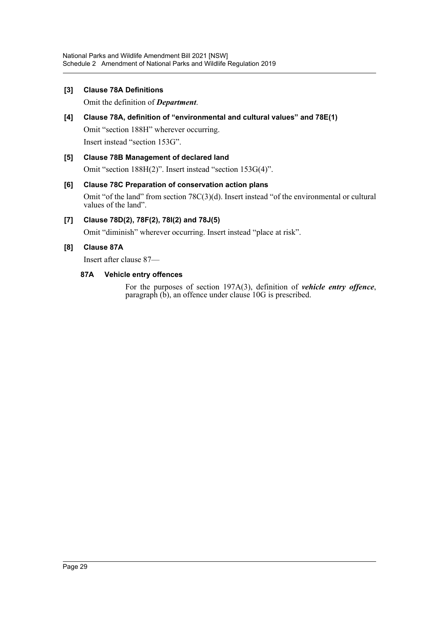# **[3] Clause 78A Definitions**

Omit the definition of *Department*.

# **[4] Clause 78A, definition of "environmental and cultural values" and 78E(1)** Omit "section 188H" wherever occurring. Insert instead "section 153G".

# **[5] Clause 78B Management of declared land**

Omit "section 188H(2)". Insert instead "section 153G(4)".

# **[6] Clause 78C Preparation of conservation action plans**

Omit "of the land" from section 78C(3)(d). Insert instead "of the environmental or cultural values of the land".

# **[7] Clause 78D(2), 78F(2), 78I(2) and 78J(5)**

Omit "diminish" wherever occurring. Insert instead "place at risk".

# **[8] Clause 87A**

Insert after clause 87—

# **87A Vehicle entry offences**

For the purposes of section 197A(3), definition of *vehicle entry offence*, paragraph (b), an offence under clause 10G is prescribed.